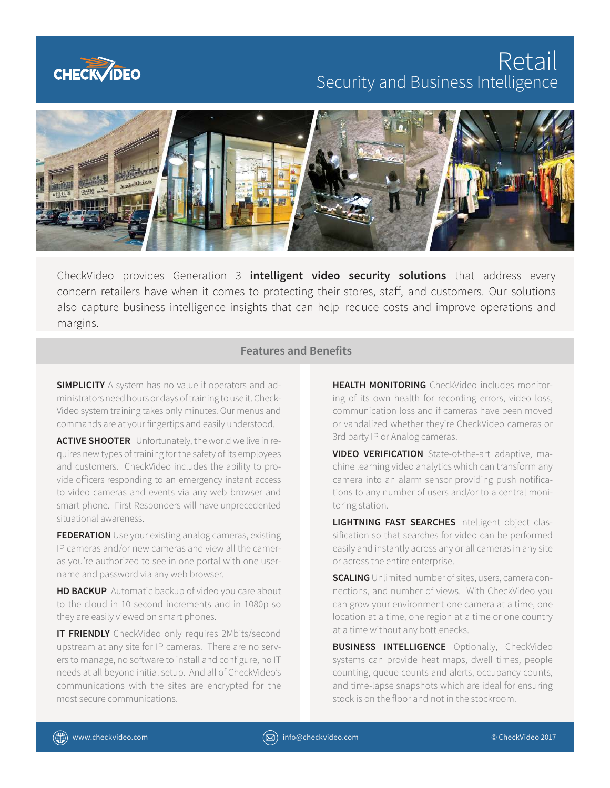

# **Retail** Security and Business Intelligence



CheckVideo provides Generation 3 **intelligent video security solutions** that address every concern retailers have when it comes to protecting their stores, staff, and customers. Our solutions also capture business intelligence insights that can help reduce costs and improve operations and margins.

### **Features and Benefits**

**SIMPLICITY** A system has no value if operators and administrators need hours or days of training to use it. Check-Video system training takes only minutes. Our menus and commands are at your fingertips and easily understood.

**ACTIVE SHOOTER** Unfortunately, the world we live in requires new types of training for the safety of its employees and customers. CheckVideo includes the ability to provide officers responding to an emergency instant access to video cameras and events via any web browser and smart phone. First Responders will have unprecedented situational awareness.

**FEDERATION** Use your existing analog cameras, existing IP cameras and/or new cameras and view all the cameras you're authorized to see in one portal with one username and password via any web browser.

**HD BACKUP** Automatic backup of video you care about to the cloud in 10 second increments and in 1080p so they are easily viewed on smart phones.

**IT FRIENDLY** CheckVideo only requires 2Mbits/second upstream at any site for IP cameras. There are no servers to manage, no software to install and configure, no IT needs at all beyond initial setup. And all of CheckVideo's communications with the sites are encrypted for the most secure communications.

**HEALTH MONITORING** CheckVideo includes monitoring of its own health for recording errors, video loss, communication loss and if cameras have been moved or vandalized whether they're CheckVideo cameras or 3rd party IP or Analog cameras.

**VIDEO VERIFICATION** State-of-the-art adaptive, machine learning video analytics which can transform any camera into an alarm sensor providing push notifications to any number of users and/or to a central monitoring station.

**LIGHTNING FAST SEARCHES** Intelligent object classification so that searches for video can be performed easily and instantly across any or all cameras in any site or across the entire enterprise.

**SCALING** Unlimited number of sites, users, camera connections, and number of views. With CheckVideo you can grow your environment one camera at a time, one location at a time, one region at a time or one country at a time without any bottlenecks.

**BUSINESS INTELLIGENCE** Optionally, CheckVideo systems can provide heat maps, dwell times, people counting, queue counts and alerts, occupancy counts, and time-lapse snapshots which are ideal for ensuring stock is on the floor and not in the stockroom.